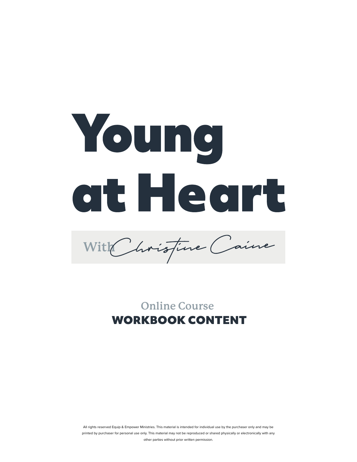

With *Christine* Caine

**Online Course** WORKBOOK CONTENT

All rights reserved Equip & Empower Ministries. This material is intended for individual use by the purchaser only and may be printed by purchaser for personal use only. This material may not be reproduced or shared physically or electronically with any other parties without prior written permission.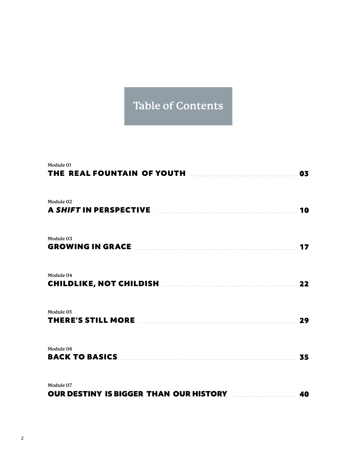## **Table of Contents**

| Module 01<br>THE REAL FOUNTAIN OF YOUTH <b>Example 2008</b>                                                   | 03 |
|---------------------------------------------------------------------------------------------------------------|----|
| Module 02<br>A SHIFT IN PERSPECTIVE <b>EXAMPLE</b> 2014 2015 2022 2023                                        | 10 |
| Module 03                                                                                                     | 17 |
| Module 04                                                                                                     | 22 |
| Module 05                                                                                                     | 29 |
| Module 06<br><b>BACK TO BASICS MANUAL RESERVE TO BACK TO BASICS</b>                                           | 35 |
| Module 07<br><b>OUR DESTINY IS BIGGER THAN OUR HISTORY MANUALLY ADDRESS THAN OUR HISTORY MANUALLY ADDRESS</b> |    |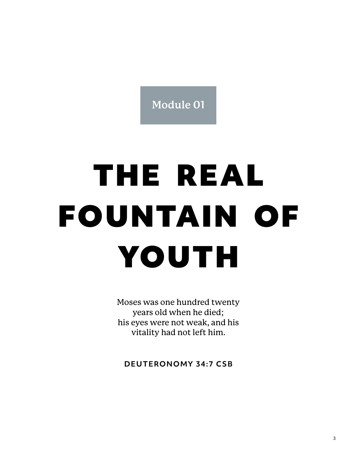**Module 01**

## THE REAL FOUNTAIN OF YOUTH

Moses was one hundred twenty years old when he died; his eyes were not weak, and his vitality had not left him.

**DEUTERONOMY 34:7 CSB**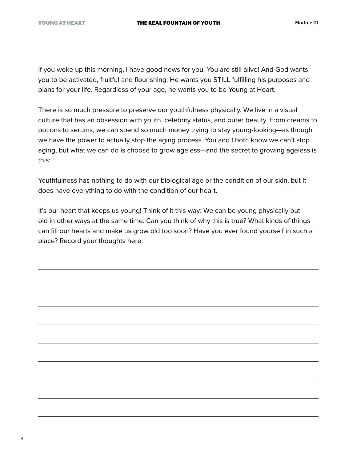If you woke up this morning, I have good news for you! You are still alive! And God wants you to be activated, fruitful and flourishing. He wants you STILL fulfilling his purposes and plans for your life. Regardless of your age, he wants you to be Young at Heart.

There is so much pressure to preserve our youthfulness physically. We live in a visual culture that has an obsession with youth, celebrity status, and outer beauty. From creams to potions to serums, we can spend so much money trying to stay young-looking—as though we have the power to actually stop the aging process. You and I both know we can't stop aging, but what we can do is choose to grow ageless—and the secret to growing ageless is this:

Youthfulness has nothing to do with our biological age or the condition of our skin, but it does have everything to do with the condition of our heart.

It's our heart that keeps us young! Think of it this way: We can be young physically but old in other ways at the same time. Can you think of why this is true? What kinds of things can fill our hearts and make us grow old too soon? Have you ever found yourself in such a place? Record your thoughts here.

4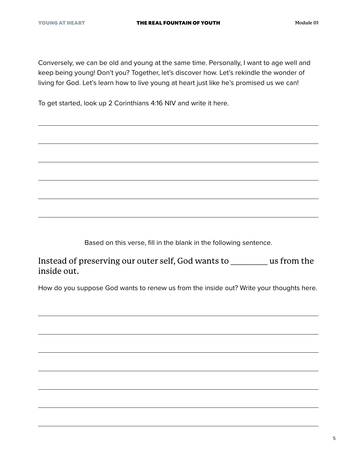Conversely, we can be old and young at the same time. Personally, I want to age well and keep being young! Don't you? Together, let's discover how. Let's rekindle the wonder of living for God. Let's learn how to live young at heart just like he's promised us we can!

To get started, look up 2 Corinthians 4:16 NIV and write it here.

Based on this verse, fill in the blank in the following sentence.

Instead of preserving our outer self, God wants to \_\_\_\_\_\_\_\_\_ us from the inside out.

How do you suppose God wants to renew us from the inside out? Write your thoughts here.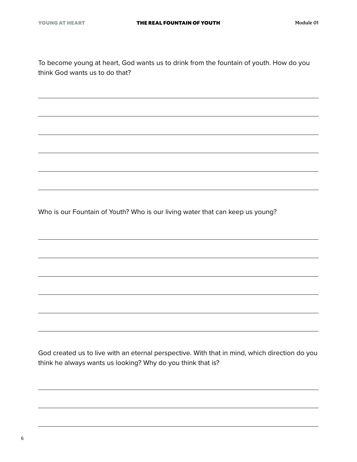To become young at heart, God wants us to drink from the fountain of youth. How do you think God wants us to do that?

Who is our Fountain of Youth? Who is our living water that can keep us young?

God created us to live with an eternal perspective. With that in mind, which direction do you think he always wants us looking? Why do you think that is?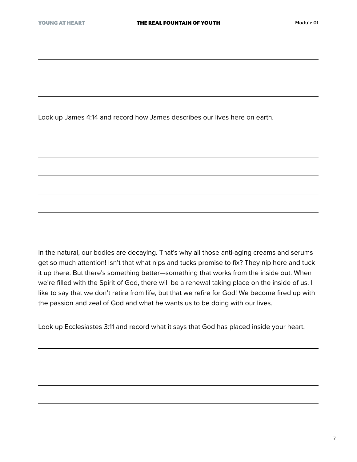Look up James 4:14 and record how James describes our lives here on earth.

In the natural, our bodies are decaying. That's why all those anti-aging creams and serums get so much attention! Isn't that what nips and tucks promise to fix? They nip here and tuck it up there. But there's something better—something that works from the inside out. When we're filled with the Spirit of God, there will be a renewal taking place on the inside of us. I like to say that we don't retire from life, but that we refire for God! We become fired up with the passion and zeal of God and what he wants us to be doing with our lives.

Look up Ecclesiastes 3:11 and record what it says that God has placed inside your heart.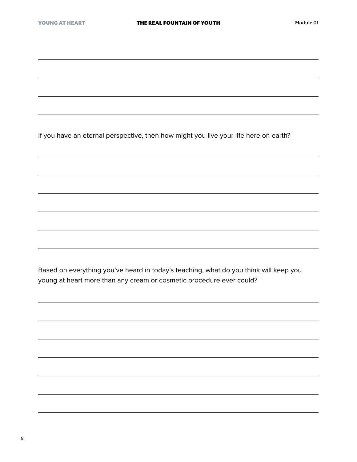If you have an eternal perspective, then how might you live your life here on earth?

Based on everything you've heard in today's teaching, what do you think will keep you young at heart more than any cream or cosmetic procedure ever could?